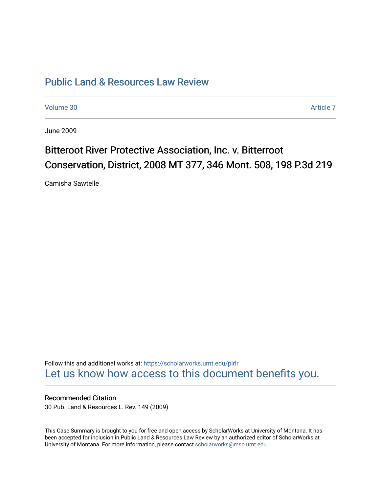## [Public Land & Resources Law Review](https://scholarworks.umt.edu/plrlr)

[Volume 30](https://scholarworks.umt.edu/plrlr/vol30) Article 7

June 2009

# Bitteroot River Protective Association, Inc. v. Bitterroot Conservation, District, 2008 MT 377, 346 Mont. 508, 198 P.3d 219

Camisha Sawtelle

Follow this and additional works at: [https://scholarworks.umt.edu/plrlr](https://scholarworks.umt.edu/plrlr?utm_source=scholarworks.umt.edu%2Fplrlr%2Fvol30%2Fiss1%2F7&utm_medium=PDF&utm_campaign=PDFCoverPages)  [Let us know how access to this document benefits you.](https://goo.gl/forms/s2rGfXOLzz71qgsB2) 

## Recommended Citation

30 Pub. Land & Resources L. Rev. 149 (2009)

This Case Summary is brought to you for free and open access by ScholarWorks at University of Montana. It has been accepted for inclusion in Public Land & Resources Law Review by an authorized editor of ScholarWorks at University of Montana. For more information, please contact [scholarworks@mso.umt.edu.](mailto:scholarworks@mso.umt.edu)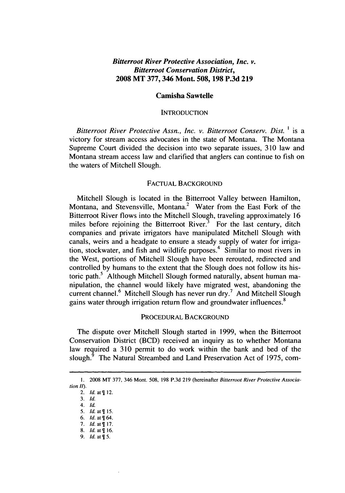### *Bitterroot River Protective Association, Inc. v. Bitterroot Conservation District,* **2008 MT 377,346 Mont. 508, 198 P.3d 219**

#### **Camisha Sawtelle**

#### **INTRODUCTION**

*Bitterroot River Protective Assn., Inc. v. Bitterroot Conserv. Dist. 1* is a victory for stream access advocates in the state of Montana. The Montana Supreme Court divided the decision into two separate issues, 310 law and Montana stream access law and clarified that anglers can continue to fish on the waters of Mitchell Slough.

#### FACTUAL BACKGROUND

Mitchell Slough is located in the Bitterroot Valley between Hamilton, Montana, and Stevensville, Montana.<sup>2</sup> Water from the East Fork of the Bitterroot River flows into the Mitchell Slough, traveling approximately 16 miles before rejoining the Bitterroot River.<sup>3</sup> For the last century, ditch companies and private irrigators have manipulated Mitchell Slough with canals, weirs and a headgate to ensure a steady supply of water for irrigation, stockwater, and fish and wildlife purposes.<sup>4</sup> Similar to most rivers in the West, portions of Mitchell Slough have been rerouted, redirected and controlled by humans to the extent that the Slough does not follow its historic path.<sup>5</sup> Although Mitchell Slough formed naturally, absent human manipulation, the channel would likely have migrated west, abandoning the current channel.<sup>6</sup> Mitchell Slough has never run dry.<sup>7</sup> And Mitchell Slough gains water through irrigation return flow and groundwater influences.<sup>8</sup>

#### PROCEDURAL BACKGROUND

The dispute over Mitchell Slough started in 1999, when the Bitterroot Conservation District (BCD) received an inquiry as to whether Montana law required a 310 permit to do work within the bank and bed of the slough.<sup>9</sup> The Natural Streambed and Land Preservation Act of 1975, com-

**<sup>1.</sup>** 2008 MT 377, 346 Mont. 508, 198 P.3d 219 (hereinafter *Bitterroot River Protective Association 11).* 

<sup>2.</sup> *Id.* at *12.*

<sup>3.</sup> *Id.*

*<sup>4.</sup> Id.*

<sup>5.</sup> *Id.* at  $\P$  15.

<sup>6.</sup> **Id.** *at 64.* 7. **Id. at\$** 17.

<sup>8.</sup> **Id.** at *16.*

<sup>9.</sup> *Id.* at  $\P$  5.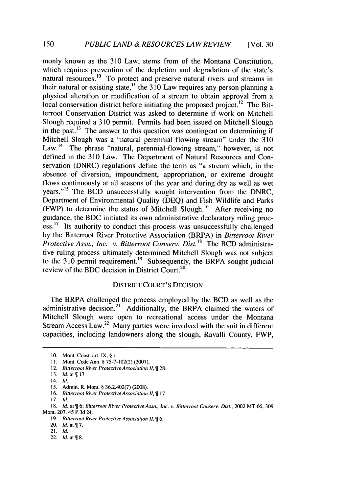monly known as the 310 Law, stems from of the Montana Constitution, which requires prevention of the depletion and degradation of the state's natural resources.<sup>10</sup> To protect and preserve natural rivers and streams in their natural or existing state,<sup> $\frac{11}{10}$ </sup> the 310 Law requires any person planning a physical alteration or modification of a stream to obtain approval from a local conservation district before initiating the proposed project.<sup>12</sup> The Bitterroot Conservation District was asked to determine if work on Mitchell Slough required a 310 permit. Permits had been issued on Mitchell Slough in the past.<sup>13</sup> The answer to this question was contingent on determining if Mitchell Slough was a "natural perennial flowing stream" under the 310 Law.<sup>14</sup> The phrase "natural, perennial-flowing stream," however, is not defined in the 310 Law. The Department of Natural Resources and Conservation (DNRC) regulations define the term as "a stream which, in the absence of diversion, impoundment, appropriation, or extreme drought flows continuously at all seasons of the year and during dry as well as wet years."<sup>15</sup> The BCD unsuccessfully sought intervention from the DNRC, Department of Environmental Quality (DEQ) and Fish Wildlife and Parks (FWP) to determine the status of Mitchell Slough.<sup>16</sup> After receiving no guidance, the BDC initiated its own administrative declaratory ruling process.<sup>17</sup> Its authority to conduct this process was unsuccessfully challenged by the Bitterroot River Protective Association (BRPA) in *Bitterroot River Protective Assn., Inc. v. Bitterroot Conserv. Dist.18* The BCD administrative ruling process ultimately determined Mitchell Slough was not subject to the  $310$  permit requirement.<sup>19</sup> Subsequently, the BRPA sought judicial review of the BDC decision in District Court.<sup>20</sup>

#### DISTRICT COURT'S DECISION

The BRPA challenged the process employed by the BCD as well as the administrative decision.<sup>21</sup> Additionally, the BRPA claimed the waters of Mitchell Slough were open to recreational access under the Montana Stream Access Law.<sup>22</sup> Many parties were involved with the suit in different capacities, including landowners along the slough, Ravalli County, FWP,

22. *Id.* at  $\P$  8.

<sup>10.</sup> Mont. Const. art. IX, § I.

<sup>11.</sup> Mont. Code Ann. § 75-7-102(2) (2007).

<sup>12.</sup> Bitterroot River Protective Association II,  $\P$  28.

<sup>13.</sup> *Id.* at  $\P$  17.

<sup>14.</sup> *Id.*

**<sup>15.</sup>** Admin. R. Mont. § 36.2.402(7) (2008).

<sup>16.</sup> Bitterroot River Protective Association II, ¶ 17.

<sup>17.</sup> Id.

<sup>18.</sup> Id. at  $\frac{m}{2}$  6; Bitterroot River Protective Assn., Inc. v. Bitterroot Conserv. Dist., 2002 MT 66, 309 Mont. 207, 45 P.3d 24.

<sup>19.</sup> Bitterroot River Protective Association II,  $\P$  6.

<sup>20.</sup> **Id.** at 7.

<sup>21.</sup> Id.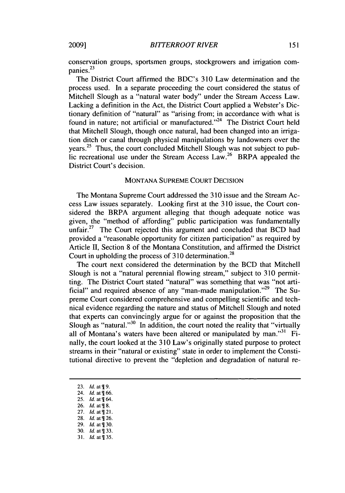conservation groups, sportsmen groups, stockgrowers and irrigation com-**<sup>23</sup>** panies.

The District Court affirmed the BDC's 310 Law determination and the process used. In a separate proceeding the court considered the status of Mitchell Slough as a "natural water body" under the Stream Access Law. Lacking a definition in the Act, the District Court applied a Webster's Dictionary definition of "natural" as "arising from; in accordance with what is found in nature; not artificial or manufactured."<sup>24</sup> The District Court held that Mitchell Slough, though once natural, had been changed into an irrigation ditch or canal through physical manipulations by landowners over the years. 25 Thus, the court concluded Mitchell Slough was not subject to public recreational use under the Stream Access Law.<sup>26</sup> BRPA appealed the

#### MONTANA SUPREME COURT DECISION

The Montana Supreme Court addressed the 310 issue and the Stream Access Law issues separately. Looking first at the 310 issue, the Court considered the BRPA argument alleging that though adequate notice was given, the "method of affording" public participation was fundamentally unfair.<sup>27</sup> The Court rejected this argument and concluded that BCD had provided a "reasonable opportunity for citizen participation" as required by Article II, Section 8 of the Montana Constitution, and affirmed the District Court in upholding the process of  $310$  determination.<sup>28</sup>

The court next considered the determination by the BCD that Mitchell Slough is not a "natural perennial flowing stream," subject to 310 permitting. The District Court stated "natural" was something that was "not artificial" and required absence of any "man-made manipulation."<sup>29</sup> The Supreme Court considered comprehensive and compelling scientific and technical evidence regarding the nature and status of Mitchell Slough and noted that experts can convincingly argue for or against the proposition that the Slough as "natural."<sup>30</sup> In addition, the court noted the reality that "virtually all of Montana's waters have been altered or manipulated by man. $131$  Finally, the court looked at the 310 Law's originally stated purpose to protect streams in their "natural or existing" state in order to implement the Constitutional directive to prevent the "depletion and degradation of natural re-

- 28. *Id.* at  $\overline{q}$  26.
- 29. *Id.* at  $\overline{q}$  30.
- 30. *Id.* at ¶ 33. 31. **Id.** at 35.

<sup>23.</sup> *Id.* at  $\P$ 9.

<sup>24.</sup> *Id.* at  $\sqrt{166}$ .

<sup>25.</sup> *Id.* at  $\P$  64.

<sup>26.</sup> *Id.* at  $\P$  8.

<sup>27.</sup> *Id.* **at\$** 21.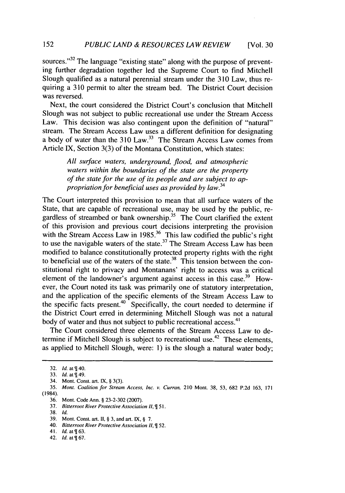sources."<sup>32</sup> The language "existing state" along with the purpose of preventing further degradation together led the Supreme Court to find Mitchell Slough qualified as a natural perennial stream under the 310 Law, thus requiring a 310 permit to alter the stream bed. The District Court decision was reversed.

Next, the court considered the District Court's conclusion that Mitchell Slough was not subject to public recreational use under the Stream Access Law. This decision was also contingent upon the definition of "natural" stream. The Stream Access Law uses a different definition for designating a body of water than the  $310$  Law.<sup>33</sup> The Stream Access Law comes from Article IX, Section 3(3) of the Montana Constitution, which states:

> *All* surface waters, underground, flood, and atmospheric waters within the boundaries of the state are the property of the state for the use of its people and are subject to appropriation for beneficial uses as provided by law.*<sup>3</sup> <sup>4</sup>*

The Court interpreted this provision to mean that all surface waters of the State, that are capable of recreational use, may be used by the public, regardless of streambed or bank ownership.<sup>35</sup> The Court clarified the extent of this provision and previous court decisions interpreting the provision with the Stream Access Law in 1985.<sup>36</sup> This law codified the public's right to use the navigable waters of the state.<sup>37</sup> The Stream Access Law has been modified to balance constitutionally protected property rights with the right to beneficial use of the waters of the state.<sup>38</sup> This tension between the constitutional right to privacy and Montanans' right to access was a critical element of the landowner's argument against access in this case.<sup>39</sup> However, the Court noted its task was primarily one of statutory interpretation, and the application of the specific elements of the Stream Access Law to the specific facts present.<sup>40</sup> Specifically, the court needed to determine if the District Court erred in determining Mitchell Slough was not a natural body of water and thus not subject to public recreational access.<sup>41</sup>

The Court considered three elements of the Stream Access Law to determine if Mitchell Slough is subject to recreational use.<sup>42</sup> These elements, as applied to Mitchell Slough, were: 1) is the slough a natural water body;

<sup>32.</sup> *Id.* at  $\P$  40.

<sup>33.</sup> *Id.* at \\$149.

<sup>34.</sup> Mont. Const. art. IX, § 3(3).

<sup>35.</sup> Mont. *Coalition for Stream Access, Inc. v. Curran,* 210 Mont. 38, **53,** 682 P.2d 163, 171 (1984).

<sup>36.</sup> Mont. Code Ann. § 23-2-302 (2007).

<sup>37.</sup> *Bitterroot River Protective Association II, 51.*

<sup>38.</sup> *Id.*

**<sup>39.</sup>** Mont. Const. art. **I1,** § **3,** and art. IX, § 7.

<sup>40.</sup> *Bitterroot River Protective Association II,* 52.

<sup>41.</sup> *Id.* at  $\P$  63.

<sup>42.</sup> *Id.* **at\$** 67.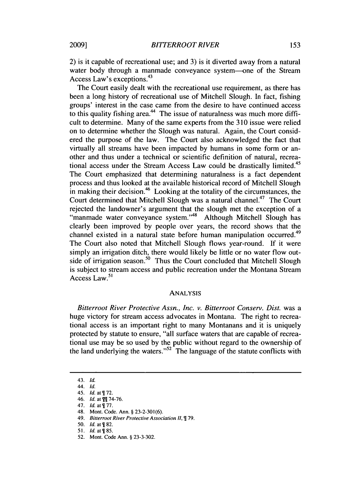2) is it capable of recreational use; and 3) is it diverted away from a natural water body through a manmade conveyance system—one of the Stream Access Law's exceptions. <sup>43</sup>

The Court easily dealt with the recreational use requirement, as there has been a long history of recreational use of Mitchell Slough. In fact, fishing groups' interest in the case came from the desire to have continued access to this quality fishing area.<sup>44</sup> The issue of naturalness was much more difficult to determine. Many of the same experts from the 3 **10** issue were relied on to determine whether the Slough was natural. Again, the Court considered the purpose of the law. The Court also acknowledged the fact that virtually all streams have been impacted by humans in some form or another and thus under a technical or scientific definition of natural, recreational access under the Stream Access Law could be drastically limited.<sup>45</sup> The Court emphasized that determining naturalness is a fact dependent process and thus looked at the available historical record of Mitchell Slough in making their decision.<sup>46</sup> Looking at the totality of the circumstances, the Court determined that Mitchell Slough was a natural channel.<sup>47</sup> The Court rejected the landowner's argument that the slough met the exception of a "manmade water conveyance system."<sup>48</sup> Although Mitchell Slough has clearly been improved by people over years, the record shows that the channel existed in a natural state before human manipulation occurred.<sup>49</sup> The Court also noted that Mitchell Slough flows year-round. If it were simply an irrigation ditch, there would likely be little or no water flow outside of irrigation season.<sup>50</sup> Thus the Court concluded that Mitchell Slough is subject to stream access and public recreation under the Montana Stream Access Law.<sup>51</sup>

#### ANALYSIS

*Bitterroot River Protective Assn., Inc. v. Bitterroot Conserv. Dist.* was a huge victory for stream access advocates in Montana. The right to recreational access is an important right to many Montanans and it is uniquely protected by statute to ensure, "all surface waters that are capable of recreational use may be so used by the public without regard to the ownership of the land underlying the waters." $52^{\circ}$  The language of the statute conflicts with

<sup>43.</sup> **Id.**

<sup>44.</sup> **Id.**

<sup>45.</sup> **Id.** at 72.

<sup>46.</sup> **Id.** at **9H** 74-76.

<sup>47.</sup> *Id.* at  $\P$  77.

<sup>48.</sup> Mont. Code. Ann. § 23-2-301(6).

<sup>49.</sup> *Bitterroot River Protective Association* II, 79.

<sup>50.</sup> *Id.* at  $\P$  82.

<sup>51.</sup> *Id.* at  $\P$  85.

<sup>52.</sup> Mont. Code Ann. § 23-3-302.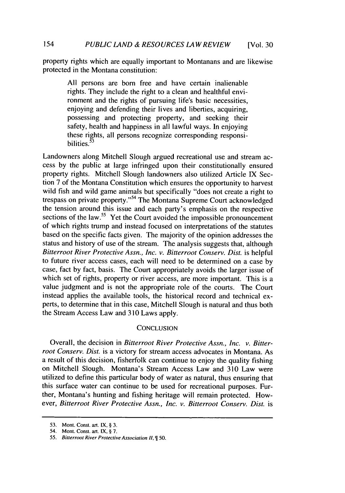property rights which are equally important to Montanans and are likewise protected in the Montana constitution:

> All persons are born free and have certain inalienable rights. They include the right to a clean and healthful environment and the rights of pursuing life's basic necessities, enjoying and defending their lives and liberties, acquiring, possessing and protecting property, and seeking their safety, health and happiness in all lawful ways. In enjoying these rights, all persons recognize corresponding responsibilities.<sup>53</sup>

Landowners along Mitchell Slough argued recreational use and stream access by the public at large infringed upon their constitutionally ensured property rights. Mitchell Slough landowners also utilized Article IX Section 7 of the Montana Constitution which ensures the opportunity to harvest wild fish and wild game animals but specifically "does not create a right to trespass on private property."<sup>54</sup> The Montana Supreme Court acknowledged the tension around this issue and each party's emphasis on the respective sections of the law.<sup>55</sup> Yet the Court avoided the impossible pronouncement of which rights trump and instead focused on interpretations of the statutes based on the specific facts given. The majority of the opinion addresses the status and history of use of the stream. The analysis suggests that, although *Bitterroot River Protective Assn., Inc. v. Bitterroot Conserv. Dist.* is helpful to future river access cases, each will need to be determined on a case by case, fact by fact, basis. The Court appropriately avoids the larger issue of which set of rights, property or river access, are more important. This is a value judgment and is not the appropriate role of the courts. The Court instead applies the available tools, the historical record and technical experts, to determine that in this case, Mitchell Slough is natural and thus both the Stream Access Law and 310 Laws apply.

#### **CONCLUSION**

Overall, the decision in *Bitterroot River Protective Assn., Inc. v. Bitterroot Conserv. Dist.* is a victory for stream access advocates in Montana. As a result of this decision, fisherfolk can continue to enjoy the quality fishing on Mitchell Slough. Montana's Stream Access Law and 310 Law were utilized to define this particular body of water as natural, thus ensuring that this surface water can continue to be used for recreational purposes. Further, Montana's hunting and fishing heritage will remain protected. However, *Bitterroot River Protective Assn., Inc. v. Bitterroot Conserv. Dist.* is

**<sup>53.</sup>** Mont. Const. art. **IX,** § **3.**

<sup>54.</sup> Mont. Const. art. IX, § **7.**

**<sup>55.</sup>** Bitterroot River Protective Association **H1, 50.**